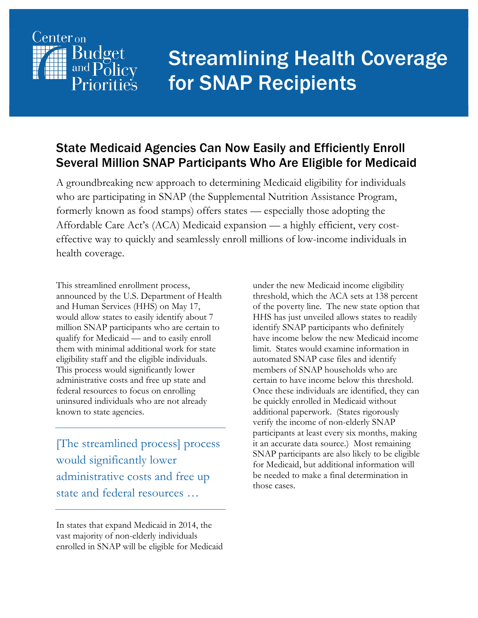

# Streamlining Health Coverage for SNAP Recipients

#### State Medicaid Agencies Can Now Easily and Efficiently Enroll Several Million SNAP Participants Who Are Eligible for Medicaid

A groundbreaking new approach to determining Medicaid eligibility for individuals who are participating in SNAP (the Supplemental Nutrition Assistance Program, formerly known as food stamps) offers states — especially those adopting the Affordable Care Act's (ACA) Medicaid expansion — a highly efficient, very costeffective way to quickly and seamlessly enroll millions of low-income individuals in health coverage.

This streamlined enrollment process, announced by the U.S. Department of Health and Human Services (HHS) on May 17, would allow states to easily identify about 7 million SNAP participants who are certain to qualify for Medicaid — and to easily enroll them with minimal additional work for state eligibility staff and the eligible individuals. This process would significantly lower administrative costs and free up state and federal resources to focus on enrolling uninsured individuals who are not already known to state agencies.

[The streamlined process] process would significantly lower administrative costs and free up state and federal resources …

In states that expand Medicaid in 2014, the vast majority of non-elderly individuals enrolled in SNAP will be eligible for Medicaid under the new Medicaid income eligibility threshold, which the ACA sets at 138 percent of the poverty line. The new state option that HHS has just unveiled allows states to readily identify SNAP participants who definitely have income below the new Medicaid income limit. States would examine information in automated SNAP case files and identify members of SNAP households who are certain to have income below this threshold. Once these individuals are identified, they can be quickly enrolled in Medicaid without additional paperwork. (States rigorously verify the income of non-elderly SNAP participants at least every six months, making it an accurate data source.) Most remaining SNAP participants are also likely to be eligible for Medicaid, but additional information will be needed to make a final determination in those cases.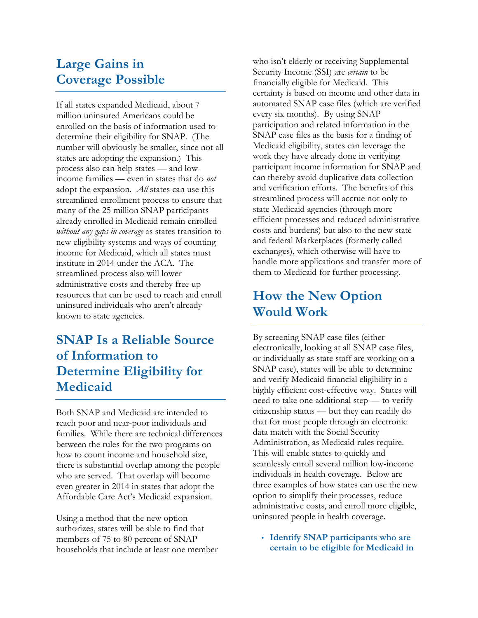### **Large Gains in Coverage Possible**

If all states expanded Medicaid, about 7 million uninsured Americans could be enrolled on the basis of information used to determine their eligibility for SNAP. (The number will obviously be smaller, since not all states are adopting the expansion.) This process also can help states — and lowincome families — even in states that do *not*  adopt the expansion. *All* states can use this streamlined enrollment process to ensure that many of the 25 million SNAP participants already enrolled in Medicaid remain enrolled *without any gaps in coverage* as states transition to new eligibility systems and ways of counting income for Medicaid, which all states must institute in 2014 under the ACA. The streamlined process also will lower administrative costs and thereby free up resources that can be used to reach and enroll uninsured individuals who aren't already known to state agencies.

## **SNAP Is a Reliable Source of Information to Determine Eligibility for Medicaid**

Both SNAP and Medicaid are intended to reach poor and near-poor individuals and families. While there are technical differences between the rules for the two programs on how to count income and household size, there is substantial overlap among the people who are served. That overlap will become even greater in 2014 in states that adopt the Affordable Care Act's Medicaid expansion.

Using a method that the new option authorizes, states will be able to find that members of 75 to 80 percent of SNAP households that include at least one member who isn't elderly or receiving Supplemental Security Income (SSI) are *certain* to be financially eligible for Medicaid. This certainty is based on income and other data in automated SNAP case files (which are verified every six months). By using SNAP participation and related information in the SNAP case files as the basis for a finding of Medicaid eligibility, states can leverage the work they have already done in verifying participant income information for SNAP and can thereby avoid duplicative data collection and verification efforts. The benefits of this streamlined process will accrue not only to state Medicaid agencies (through more efficient processes and reduced administrative costs and burdens) but also to the new state and federal Marketplaces (formerly called exchanges), which otherwise will have to handle more applications and transfer more of them to Medicaid for further processing.

## **How the New Option Would Work**

By screening SNAP case files (either electronically, looking at all SNAP case files, or individually as state staff are working on a SNAP case), states will be able to determine and verify Medicaid financial eligibility in a highly efficient cost-effective way. States will need to take one additional step — to verify citizenship status — but they can readily do that for most people through an electronic data match with the Social Security Administration, as Medicaid rules require. This will enable states to quickly and seamlessly enroll several million low-income individuals in health coverage. Below are three examples of how states can use the new option to simplify their processes, reduce administrative costs, and enroll more eligible, uninsured people in health coverage.

• **Identify SNAP participants who are certain to be eligible for Medicaid in**